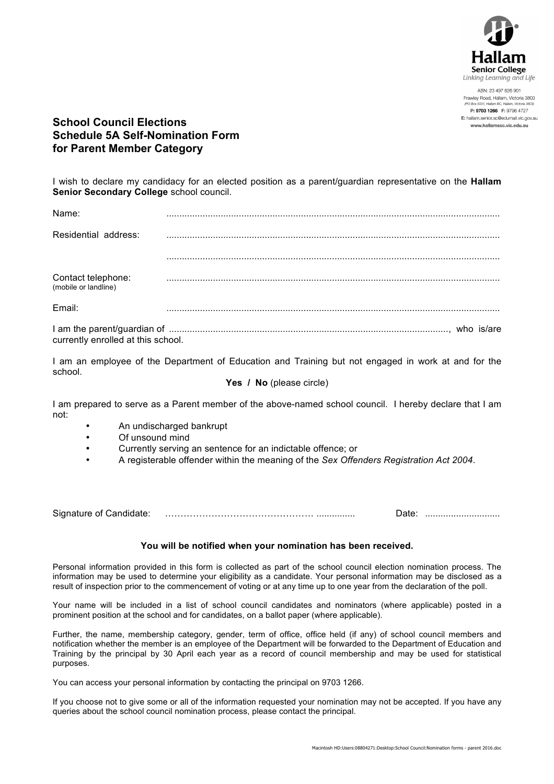

ABN: 23 497 826 901 Frawley Road, Hallam, Victoria 3803 - - -P: 9703 1266 F: 9796 4727 E: hallam.senior.sc@edumail.vic.gov.au www.hallamssc.vic.edu.au

**School Council Elections Schedule 5A Self-Nomination Form for Parent Member Category**

I wish to declare my candidacy for an elected position as a parent/guardian representative on the **Hallam Senior Secondary College** school council.

| Name:                                      |  |
|--------------------------------------------|--|
| Residential address:                       |  |
|                                            |  |
| Contact telephone:<br>(mobile or landline) |  |
| Email:                                     |  |
| currently enrolled at this school.         |  |

I am an employee of the Department of Education and Training but not engaged in work at and for the school.

Yes / No (please circle)

I am prepared to serve as a Parent member of the above-named school council. I hereby declare that I am not:

- An undischarged bankrupt<br>• Of unsound mind
- Of unsound mind
- Currently serving an sentence for an indictable offence; or
- A registerable offender within the meaning of the *Sex Offenders Registration Act 2004*.

Signature of Candidate: ………………………………………… ............... Date: .............................

## **You will be notified when your nomination has been received.**

Personal information provided in this form is collected as part of the school council election nomination process. The information may be used to determine your eligibility as a candidate. Your personal information may be disclosed as a result of inspection prior to the commencement of voting or at any time up to one year from the declaration of the poll.

Your name will be included in a list of school council candidates and nominators (where applicable) posted in a prominent position at the school and for candidates, on a ballot paper (where applicable).

Further, the name, membership category, gender, term of office, office held (if any) of school council members and notification whether the member is an employee of the Department will be forwarded to the Department of Education and Training by the principal by 30 April each year as a record of council membership and may be used for statistical purposes.

You can access your personal information by contacting the principal on 9703 1266.

If you choose not to give some or all of the information requested your nomination may not be accepted. If you have any queries about the school council nomination process, please contact the principal.